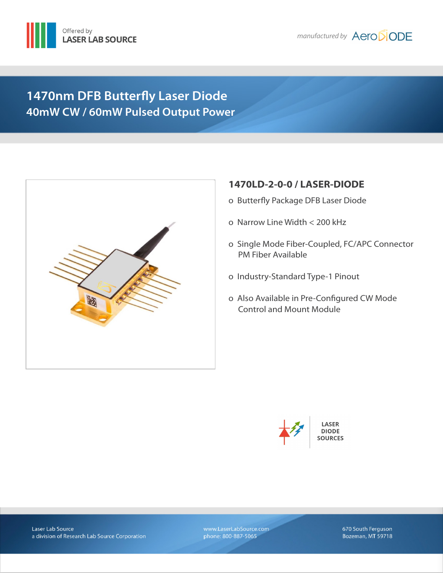



# **1470nm DFB Butterfly Laser Diode 40mW CW / 60mW Pulsed Output Power**



# **1470LD-2-0-0 / LASER-DIODE**

- ο Butterfly Package DFB Laser Diode
- ο Narrow Line Width < 200 kHz
- ο Single Mode Fiber-Coupled, FC/APC Connector PM Fiber Available
- ο Industry-Standard Type-1 Pinout
- ο Also Available in Pre-Configured CW Mode Control and Mount Module



www.LaserLabSource.com phone: 800-887-5065

670 South Ferguson Bozeman, MT 59718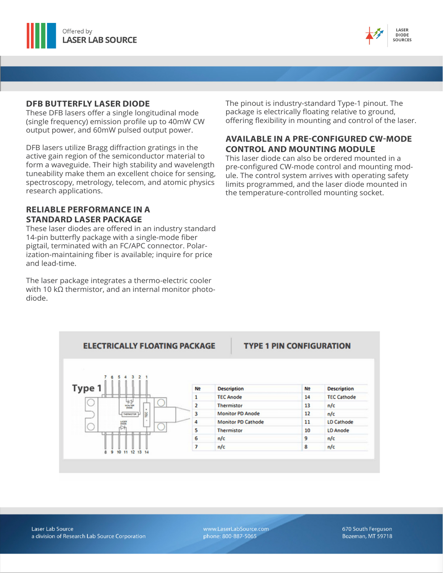



### **DFB BUTTERFLY LASER DIODE**

These DFB lasers offer a single longitudinal mode (single frequency) emission profile up to 40mW CW output power, and 60mW pulsed output power.

DFB lasers utilize Bragg diffraction gratings in the active gain region of the semiconductor material to form a waveguide. Their high stability and wavelength tuneability make them an excellent choice for sensing, spectroscopy, metrology, telecom, and atomic physics research applications.

### **RELIABLE PERFORMANCE IN A STANDARD LASER PACKAGE**

These laser diodes are offered in an industry standard 14-pin butterfly package with a single-mode fiber pigtail, terminated with an FC/APC connector. Polarization-maintaining fiber is available; inquire for price and lead-time.

The laser package integrates a thermo-electric cooler with 10 kΩ thermistor, and an internal monitor photodiode.

The pinout is industry-standard Type-1 pinout. The package is electrically floating relative to ground, offering flexibility in mounting and control of the laser.

### **AVAILABLE IN A PRE-CONFIGURED CW-MODE CONTROL AND MOUNTING MODULE**

This laser diode can also be ordered mounted in a pre-configured CW-mode control and mounting module. The control system arrives with operating safety limits programmed, and the laser diode mounted in the temperature-controlled mounting socket.



www.LaserLabSource.com phone: 800-887-5065

670 South Ferguson Bozeman, MT 59718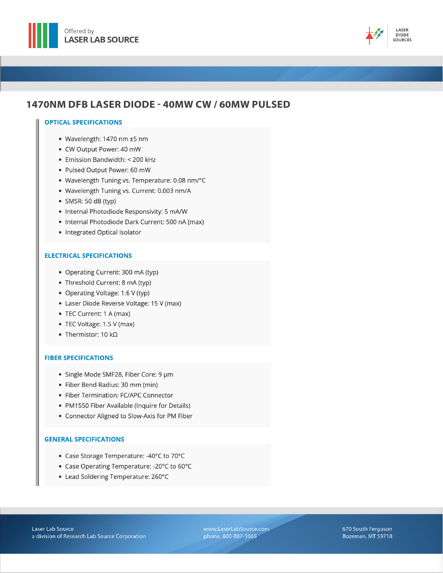



## 1470NM DFB LASER DIODE - 40MW CW / 60MW PULSED

#### **OPTICAL SPECIFICATIONS**

- Wavelength: 1470 nm ±5 nm
- CW Output Power: 40 mW
- Emission Bandwidth: < 200 kHz
- · Pulsed Output Power: 60 mW
- Wavelength Tuning vs. Temperature: 0.08 nm/°C
- · Wavelength Tuning vs. Current: 0.003 nm/A
- $\bullet$  SMSR: 50 dB (typ)
- Internal Photodiode Responsivity: 5 mA/W
- Internal Photodiode Dark Current: 500 nA (max)
- Integrated Optical Isolator

#### **ELECTRICAL SPECIFICATIONS**

- Operating Current: 300 mA (typ)
- Threshold Current: 8 mA (typ)
- Operating Voltage: 1.6 V (typ)
- Laser Diode Reverse Voltage: 15 V (max)
- TEC Current: 1 A (max)
- TEC Voltage: 1.5 V (max)
- Thermistor: 10 k $\Omega$

#### **FIBER SPECIFICATIONS**

- · Single Mode SMF28, Fiber Core: 9 µm
- Fiber Bend Radius: 30 mm (min)
- Fiber Termination: FC/APC Connector
- PM1550 Fiber Available (Inquire for Details)
- Connector Aligned to Slow-Axis for PM Fiber

#### **GENERAL SPECIFICATIONS**

- Case Storage Temperature: -40°C to 70°C
- Case Operating Temperature: 20°C to 60°C
- Lead Soldering Temperature: 260°C

www.LaserLabSource.com phone: 800-887-5065